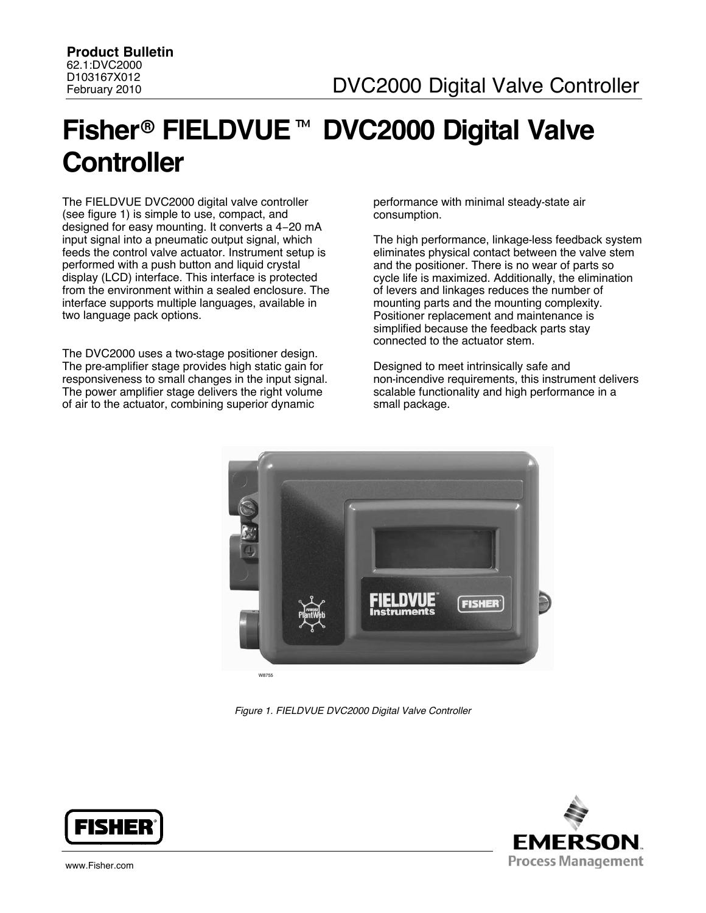# **Fisher**! **FIELDVUE**" **DVC2000 Digital Valve Controller**

The FIELDVUE DVC2000 digital valve controller (see figure 1) is simple to use, compact, and designed for easy mounting. It converts a 4−20 mA input signal into a pneumatic output signal, which feeds the control valve actuator. Instrument setup is performed with a push button and liquid crystal display (LCD) interface. This interface is protected from the environment within a sealed enclosure. The interface supports multiple languages, available in two language pack options.

The DVC2000 uses a two-stage positioner design. The pre-amplifier stage provides high static gain for responsiveness to small changes in the input signal. The power amplifier stage delivers the right volume of air to the actuator, combining superior dynamic

performance with minimal steady-state air consumption.

The high performance, linkage-less feedback system eliminates physical contact between the valve stem and the positioner. There is no wear of parts so cycle life is maximized. Additionally, the elimination of levers and linkages reduces the number of mounting parts and the mounting complexity. Positioner replacement and maintenance is simplified because the feedback parts stay connected to the actuator stem.

Designed to meet intrinsically safe and non-incendive requirements, this instrument delivers scalable functionality and high performance in a small package.



*Figure 1. FIELDVUE DVC2000 Digital Valve Controller*



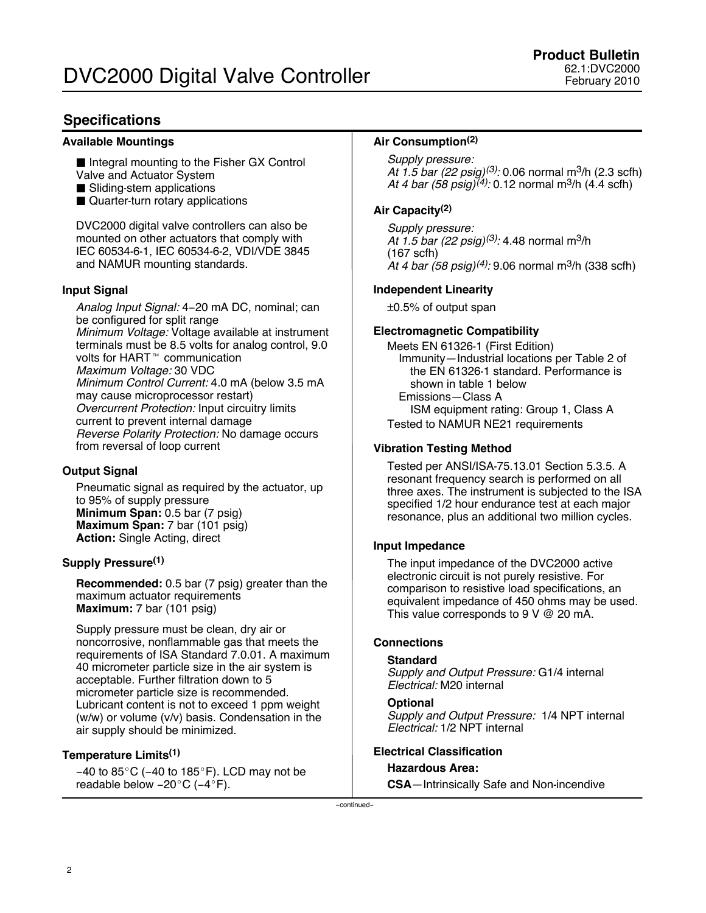### **Specifications**

### **Available Mountings**

- Integral mounting to the Fisher GX Control Valve and Actuator System
- Sliding-stem applications
- Quarter-turn rotary applications

DVC2000 digital valve controllers can also be mounted on other actuators that comply with IEC 60534-6-1, IEC 60534-6-2, VDI/VDE 3845 and NAMUR mounting standards.

### **Input Signal**

*Analog Input Signal:* 4−20 mA DC, nominal; can be configured for split range *Minimum Voltage:* Voltage available at instrument terminals must be 8.5 volts for analog control, 9.0 volts for HART<sup>™</sup> communication *Maximum Voltage:* 30 VDC *Minimum Control Current:* 4.0 mA (below 3.5 mA may cause microprocessor restart) *Overcurrent Protection:* Input circuitry limits current to prevent internal damage *Reverse Polarity Protection:* No damage occurs from reversal of loop current

### **Output Signal**

Pneumatic signal as required by the actuator, up to 95% of supply pressure **Minimum Span:** 0.5 bar (7 psig) **Maximum Span:** 7 bar (101 psig) **Action:** Single Acting, direct

### **Supply Pressure(1)**

**Recommended:** 0.5 bar (7 psig) greater than the maximum actuator requirements **Maximum:** 7 bar (101 psig)

Supply pressure must be clean, dry air or noncorrosive, nonflammable gas that meets the requirements of ISA Standard 7.0.01. A maximum 40 micrometer particle size in the air system is acceptable. Further filtration down to 5 micrometer particle size is recommended. Lubricant content is not to exceed 1 ppm weight (w/w) or volume (v/v) basis. Condensation in the air supply should be minimized.

### **Temperature Limits(1)**

−40 to 85°C (-40 to 185°F). LCD may not be readable below –20°C (–4°F).

### **Air Consumption(2)**

*Supply pressure: At 1.5 bar (22 psig)(3):* 0.06 normal m3/h (2.3 scfh) *At 4 bar (58 psig)(4):* 0.12 normal m3/h (4.4 scfh)

### **Air Capacity(2)**

*Supply pressure: At 1.5 bar (22 psig)(3):* 4.48 normal m3/h (167 scfh) *At 4 bar (58 psig)(4):* 9.06 normal m3/h (338 scfh)

### **Independent Linearity**

±0.5% of output span

### **Electromagnetic Compatibility**

Meets EN 61326-1 (First Edition) Immunity—Industrial locations per Table 2 of the EN 61326-1 standard. Performance is shown in table [1](#page-2-0) below Emissions—Class A ISM equipment rating: Group 1, Class A Tested to NAMUR NE21 requirements

### **Vibration Testing Method**

Tested per ANSI/ISA-75.13.01 Section 5.3.5. A resonant frequency search is performed on all three axes. The instrument is subjected to the ISA specified 1/2 hour endurance test at each major resonance, plus an additional two million cycles.

### **Input Impedance**

The input impedance of the DVC2000 active electronic circuit is not purely resistive. For comparison to resistive load specifications, an equivalent impedance of 450 ohms may be used. This value corresponds to 9 V @ 20 mA.

### **Connections**

### **Standard**

*Supply and Output Pressure:* G1/4 internal *Electrical:* M20 internal

### **Optional**

```
Supply and Output Pressure: 1/4 NPT internal
Electrical: 1/2 NPT internal
```
### **Electrical Classification**

### **Hazardous Area:**

**CSA**—Intrinsically Safe and Non-incendive

−continued−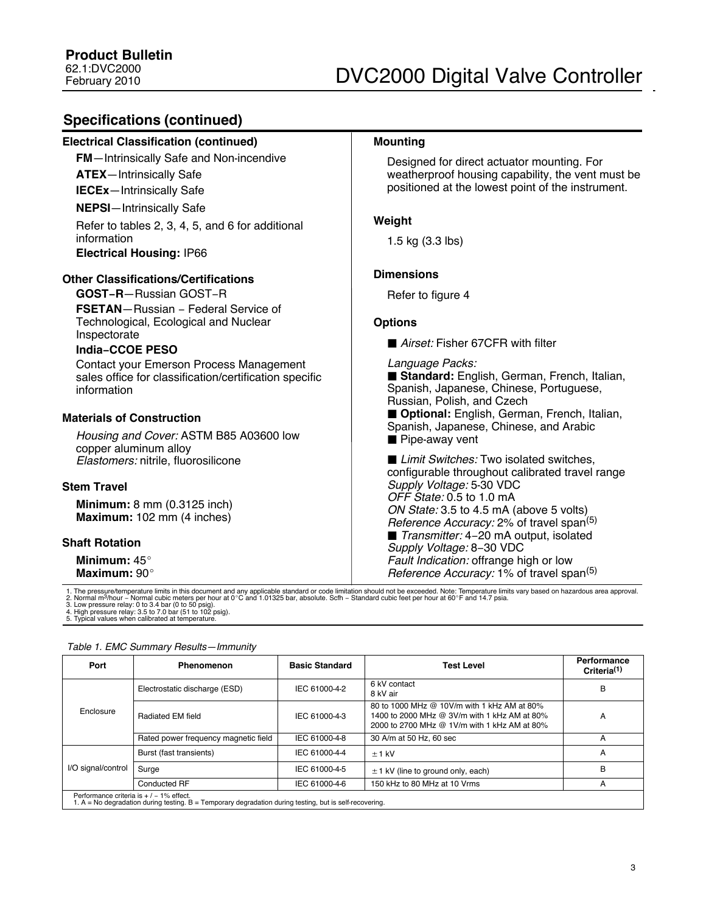### <span id="page-2-0"></span>**Specifications (continued)**

| <b>Electrical Classification (continued)</b>                                                                                                                                                                                                                                                  | <b>Mounting</b>                                                                                                                                                                                                                                                                        |
|-----------------------------------------------------------------------------------------------------------------------------------------------------------------------------------------------------------------------------------------------------------------------------------------------|----------------------------------------------------------------------------------------------------------------------------------------------------------------------------------------------------------------------------------------------------------------------------------------|
| <b>FM</b> -Intrinsically Safe and Non-incendive<br><b>ATEX</b> -Intrinsically Safe<br><b>IECEx-Intrinsically Safe</b>                                                                                                                                                                         | Designed for direct actuator mounting. For<br>weatherproof housing capability, the vent must be<br>positioned at the lowest point of the instrument.                                                                                                                                   |
| <b>NEPSI-Intrinsically Safe</b><br>Refer to tables 2, 3, 4, 5, and 6 for additional                                                                                                                                                                                                           | Weight                                                                                                                                                                                                                                                                                 |
| information<br><b>Electrical Housing: IP66</b>                                                                                                                                                                                                                                                | 1.5 kg $(3.3$ lbs)                                                                                                                                                                                                                                                                     |
| <b>Other Classifications/Certifications</b>                                                                                                                                                                                                                                                   | <b>Dimensions</b>                                                                                                                                                                                                                                                                      |
| <b>GOST-R-Russian GOST-R</b>                                                                                                                                                                                                                                                                  | Refer to figure 4                                                                                                                                                                                                                                                                      |
| <b>FSETAN</b> -Russian - Federal Service of<br>Technological, Ecological and Nuclear<br>Inspectorate<br><b>India-CCOE PESO</b><br><b>Contact your Emerson Process Management</b><br>sales office for classification/certification specific<br>information<br><b>Materials of Construction</b> | <b>Options</b><br>Airset: Fisher 67CFR with filter<br>Language Packs:<br>Standard: English, German, French, Italian,<br>Spanish, Japanese, Chinese, Portuguese,<br>Russian, Polish, and Czech<br>Optional: English, German, French, Italian,<br>Spanish, Japanese, Chinese, and Arabic |
| Housing and Cover: ASTM B85 A03600 low<br>copper aluminum alloy<br>Elastomers: nitrile, fluorosilicone                                                                                                                                                                                        | $\blacksquare$ Pipe-away vent<br>■ Limit Switches: Two isolated switches,<br>configurable throughout calibrated travel range                                                                                                                                                           |
| <b>Stem Travel</b><br>Minimum: 8 mm (0.3125 inch)<br>Maximum: 102 mm (4 inches)                                                                                                                                                                                                               | Supply Voltage: 5-30 VDC<br>OFF State: 0.5 to 1.0 mA<br>ON State: 3.5 to 4.5 mA (above 5 volts)<br>Reference Accuracy: 2% of travel span <sup>(5)</sup>                                                                                                                                |
| <b>Shaft Rotation</b><br>Minimum: $45^\circ$<br>Maximum: 90°                                                                                                                                                                                                                                  | ■ Transmitter: 4-20 mA output, isolated<br>Supply Voltage: 8-30 VDC<br>Fault Indication: offrange high or low<br>Reference Accuracy: 1% of travel span <sup>(5)</sup>                                                                                                                  |

1. The pressure/temperature limits in this document and any applicable standard or code limitation should not be exceeded. Note: Temperature limits vary based on hazardous area approval.<br>2. Normal m<sup>3</sup>/hour – Normal cubic

| Port                                                                                                                                                    | Phenomenon                           | <b>Basic Standard</b> | <b>Test Level</b>                                                                                                                           | Performance<br>Criteria <sup>(1)</sup> |
|---------------------------------------------------------------------------------------------------------------------------------------------------------|--------------------------------------|-----------------------|---------------------------------------------------------------------------------------------------------------------------------------------|----------------------------------------|
|                                                                                                                                                         | Electrostatic discharge (ESD)        | IEC 61000-4-2         | 6 kV contact<br>8 kV air                                                                                                                    | B                                      |
| Enclosure                                                                                                                                               | Radiated EM field                    | IEC 61000-4-3         | 80 to 1000 MHz @ 10V/m with 1 kHz AM at 80%<br>1400 to 2000 MHz @ 3V/m with 1 kHz AM at 80%<br>2000 to 2700 MHz @ 1V/m with 1 kHz AM at 80% | A                                      |
|                                                                                                                                                         | Rated power frequency magnetic field | IEC 61000-4-8         | 30 A/m at 50 Hz, 60 sec                                                                                                                     | А                                      |
|                                                                                                                                                         | Burst (fast transients)              | IEC 61000-4-4         | $±1$ kV                                                                                                                                     | A                                      |
| I/O signal/control                                                                                                                                      | Surge                                | IEC 61000-4-5         | $\pm$ 1 kV (line to ground only, each)                                                                                                      | в                                      |
|                                                                                                                                                         | Conducted RF                         | IEC 61000-4-6         | 150 kHz to 80 MHz at 10 Vrms                                                                                                                | A                                      |
| Performance criteria is $+/-1\%$ effect.<br>1. $A = No$ degradation during testing. $B =$ Temporary degradation during testing, but is self-recovering. |                                      |                       |                                                                                                                                             |                                        |

#### *Table 1. EMC Summary Results—Immunity*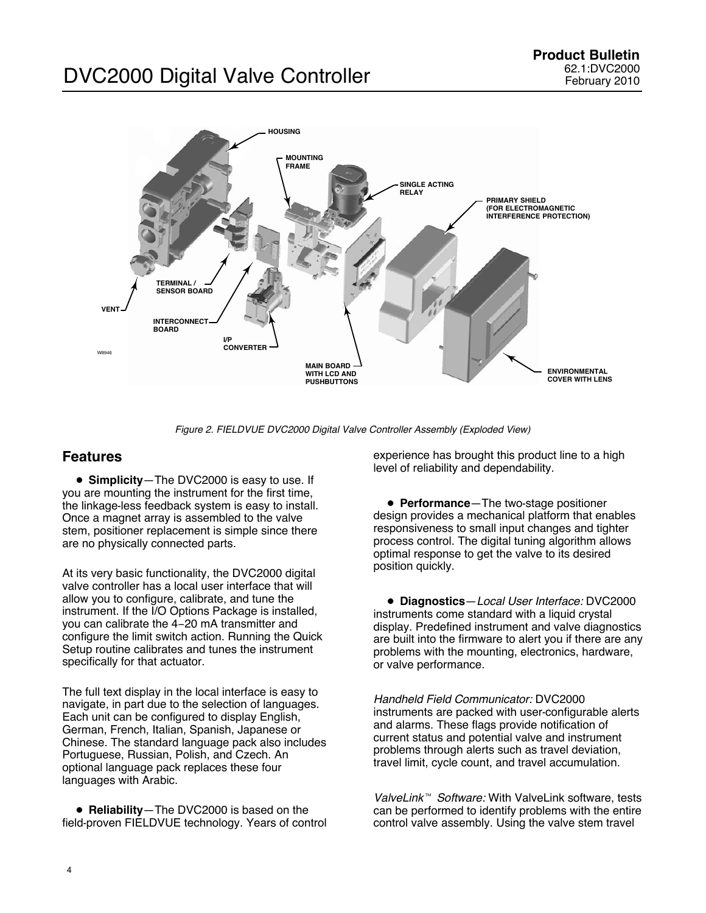## <span id="page-3-0"></span>DVC2000 Digital Valve Controller



*Figure 2. FIELDVUE DVC2000 Digital Valve Controller Assembly (Exploded View)*

### **Features**

**• Simplicity**—The DVC2000 is easy to use. If you are mounting the instrument for the first time, the linkage-less feedback system is easy to install. Once a magnet array is assembled to the valve stem, positioner replacement is simple since there are no physically connected parts.

At its very basic functionality, the DVC2000 digital valve controller has a local user interface that will allow you to configure, calibrate, and tune the instrument. If the I/O Options Package is installed, you can calibrate the 4−20 mA transmitter and configure the limit switch action. Running the Quick Setup routine calibrates and tunes the instrument specifically for that actuator.

The full text display in the local interface is easy to navigate, in part due to the selection of languages. Each unit can be configured to display English, German, French, Italian, Spanish, Japanese or Chinese. The standard language pack also includes Portuguese, Russian, Polish, and Czech. An optional language pack replaces these four languages with Arabic.

**• Reliability**-The DVC2000 is based on the field-proven FIELDVUE technology. Years of control

experience has brought this product line to a high level of reliability and dependability.

**• Performance**—The two-stage positioner design provides a mechanical platform that enables responsiveness to small input changes and tighter process control. The digital tuning algorithm allows optimal response to get the valve to its desired position quickly.

\$ **Diagnostics**—*Local User Interface:* DVC2000 instruments come standard with a liquid crystal display. Predefined instrument and valve diagnostics are built into the firmware to alert you if there are any problems with the mounting, electronics, hardware, or valve performance.

*Handheld Field Communicator:* DVC2000 instruments are packed with user-configurable alerts and alarms. These flags provide notification of current status and potential valve and instrument problems through alerts such as travel deviation, travel limit, cycle count, and travel accumulation.

*ValveLink*" *Software:* With ValveLink software, tests can be performed to identify problems with the entire control valve assembly. Using the valve stem travel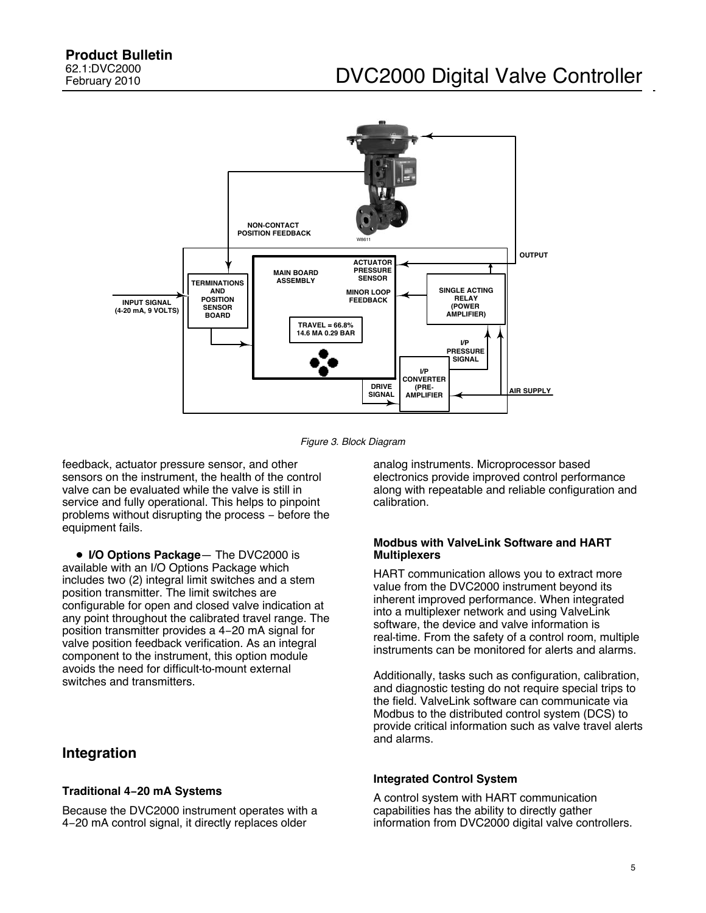<span id="page-4-0"></span>

*Figure 3. Block Diagram*

feedback, actuator pressure sensor, and other sensors on the instrument, the health of the control valve can be evaluated while the valve is still in service and fully operational. This helps to pinpoint problems without disrupting the process − before the equipment fails.

\$ **I/O Options Package**— The DVC2000 is available with an I/O Options Package which includes two (2) integral limit switches and a stem position transmitter. The limit switches are configurable for open and closed valve indication at any point throughout the calibrated travel range. The position transmitter provides a 4−20 mA signal for valve position feedback verification. As an integral component to the instrument, this option module avoids the need for difficult-to-mount external switches and transmitters.

### **Integration**

### **Traditional 4−20 mA Systems**

Because the DVC2000 instrument operates with a 4−20 mA control signal, it directly replaces older

analog instruments. Microprocessor based electronics provide improved control performance along with repeatable and reliable configuration and calibration.

### **Modbus with ValveLink Software and HART Multiplexers**

HART communication allows you to extract more value from the DVC2000 instrument beyond its inherent improved performance. When integrated into a multiplexer network and using ValveLink software, the device and valve information is real-time. From the safety of a control room, multiple instruments can be monitored for alerts and alarms.

Additionally, tasks such as configuration, calibration, and diagnostic testing do not require special trips to the field. ValveLink software can communicate via Modbus to the distributed control system (DCS) to provide critical information such as valve travel alerts and alarms.

### **Integrated Control System**

A control system with HART communication capabilities has the ability to directly gather information from DVC2000 digital valve controllers.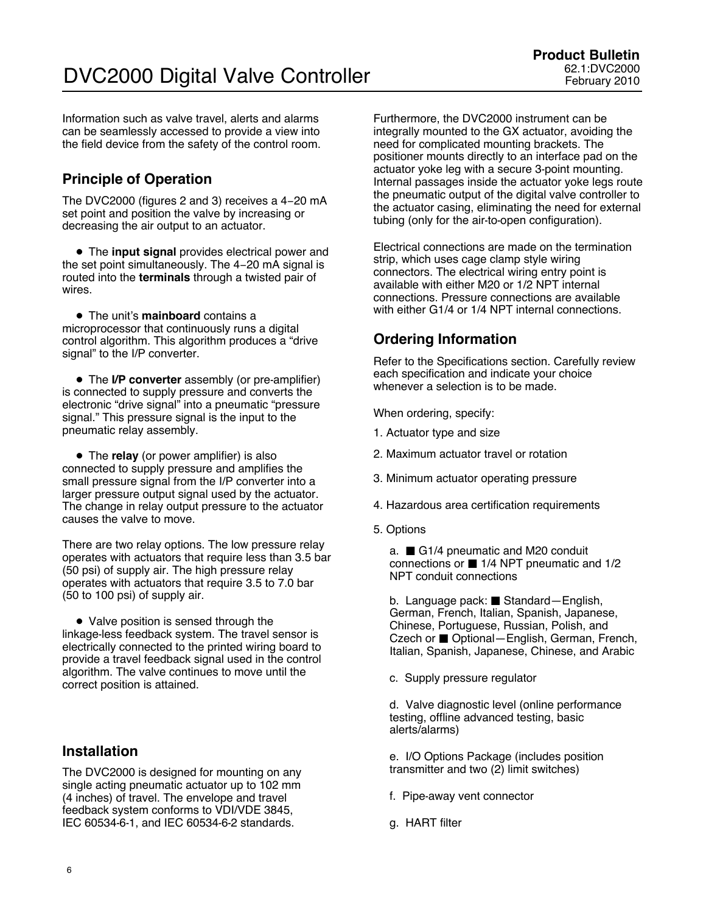Information such as valve travel, alerts and alarms can be seamlessly accessed to provide a view into the field device from the safety of the control room.

### **Principle of Operation**

The DVC2000 (figures [2](#page-3-0) and [3\)](#page-4-0) receives a 4−20 mA set point and position the valve by increasing or decreasing the air output to an actuator.

**• The input signal** provides electrical power and the set point simultaneously. The 4−20 mA signal is routed into the **terminals** through a twisted pair of wires.

**• The unit's mainboard contains a** microprocessor that continuously runs a digital control algorithm. This algorithm produces a "drive signal" to the I/P converter.

• The **I/P converter** assembly (or pre-amplifier) is connected to supply pressure and converts the electronic "drive signal" into a pneumatic "pressure signal." This pressure signal is the input to the pneumatic relay assembly.

• The **relay** (or power amplifier) is also connected to supply pressure and amplifies the small pressure signal from the I/P converter into a larger pressure output signal used by the actuator. The change in relay output pressure to the actuator causes the valve to move.

There are two relay options. The low pressure relay operates with actuators that require less than 3.5 bar (50 psi) of supply air. The high pressure relay operates with actuators that require 3.5 to 7.0 bar (50 to 100 psi) of supply air.

• Valve position is sensed through the linkage-less feedback system. The travel sensor is electrically connected to the printed wiring board to provide a travel feedback signal used in the control algorithm. The valve continues to move until the correct position is attained.

### **Installation**

The DVC2000 is designed for mounting on any single acting pneumatic actuator up to 102 mm (4 inches) of travel. The envelope and travel feedback system conforms to VDI/VDE 3845, IEC 60534-6-1, and IEC 60534-6-2 standards.

Furthermore, the DVC2000 instrument can be integrally mounted to the GX actuator, avoiding the need for complicated mounting brackets. The positioner mounts directly to an interface pad on the actuator yoke leg with a secure 3-point mounting. Internal passages inside the actuator yoke legs route the pneumatic output of the digital valve controller to the actuator casing, eliminating the need for external tubing (only for the air-to-open configuration).

Electrical connections are made on the termination strip, which uses cage clamp style wiring connectors. The electrical wiring entry point is available with either M20 or 1/2 NPT internal connections. Pressure connections are available with either G1/4 or 1/4 NPT internal connections.

### **Ordering Information**

Refer to the Specifications section. Carefully review each specification and indicate your choice whenever a selection is to be made.

When ordering, specify:

- 1. Actuator type and size
- 2. Maximum actuator travel or rotation
- 3. Minimum actuator operating pressure
- 4. Hazardous area certification requirements
- 5. Options

a.  $\Box$  G1/4 pneumatic and M20 conduit connections or  $\blacksquare$  1/4 NPT pneumatic and 1/2 NPT conduit connections

b. Language pack: Standard-English, German, French, Italian, Spanish, Japanese, Chinese, Portuguese, Russian, Polish, and Czech or ■ Optional–English, German, French, Italian, Spanish, Japanese, Chinese, and Arabic

c. Supply pressure regulator

d. Valve diagnostic level (online performance testing, offline advanced testing, basic alerts/alarms)

e. I/O Options Package (includes position transmitter and two (2) limit switches)

- f. Pipe-away vent connector
- g. HART filter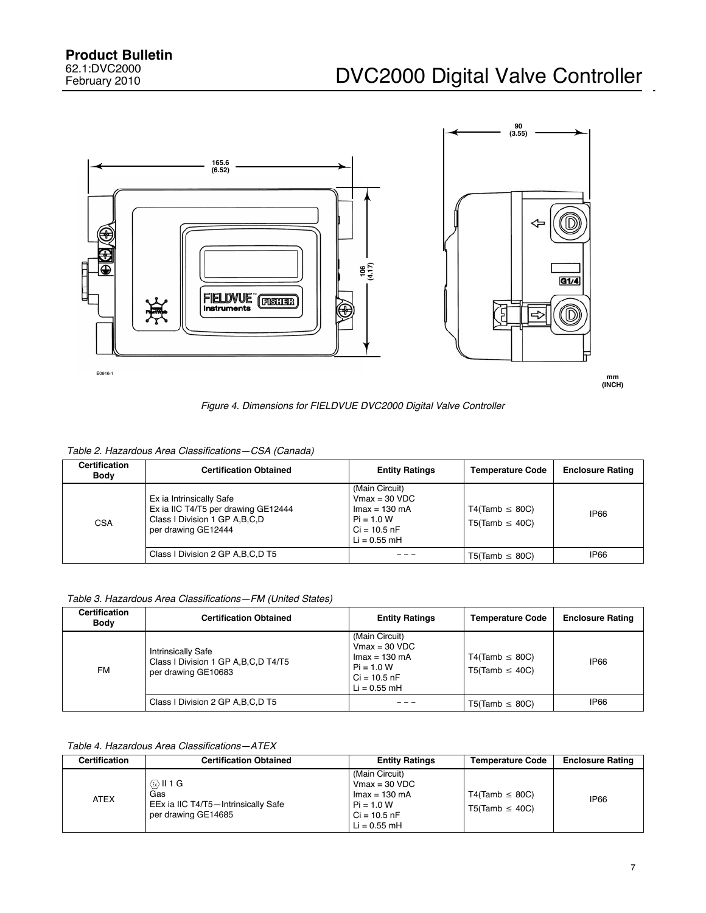<span id="page-6-0"></span>

*Figure 4. Dimensions for FIELDVUE DVC2000 Digital Valve Controller*

| Table 2. Hazardous Area Classifications-CSA (Canada) |  |
|------------------------------------------------------|--|
|------------------------------------------------------|--|

| <b>Certification</b><br><b>Body</b> | <b>Certification Obtained</b>                                                                                              | <b>Entity Ratings</b>                                                                                            | <b>Temperature Code</b>                           | <b>Enclosure Rating</b> |
|-------------------------------------|----------------------------------------------------------------------------------------------------------------------------|------------------------------------------------------------------------------------------------------------------|---------------------------------------------------|-------------------------|
| <b>CSA</b>                          | Ex ia Intrinsically Safe<br>Ex ia IIC T4/T5 per drawing GE12444<br>Class I Division 1 GP A, B, C, D<br>per drawing GE12444 | (Main Circuit)<br>$Vmax = 30 VDC$<br>$Imax = 130 \text{ mA}$<br>$Pi = 1.0 W$<br>$Ci = 10.5 nF$<br>$Li = 0.55$ mH | $T4$ (Tamb $\leq$ 80C)<br>$T5$ (Tamb $\leq 40C$ ) | <b>IP66</b>             |
|                                     | Class I Division 2 GP A, B, C, D T5                                                                                        |                                                                                                                  | $T5$ (Tamb $\leq$ 80C)                            | <b>IP66</b>             |

*Table 3. Hazardous Area Classifications—FM (United States)*

| Certification<br>Body | <b>Certification Obtained</b>                                                              | <b>Entity Ratings</b>                                                                                                   | <b>Temperature Code</b>                        | <b>Enclosure Rating</b> |
|-----------------------|--------------------------------------------------------------------------------------------|-------------------------------------------------------------------------------------------------------------------------|------------------------------------------------|-------------------------|
| FM.                   | <b>Intrinsically Safe</b><br>Class I Division 1 GP A, B, C, D T4/T5<br>per drawing GE10683 | (Main Circuit)<br>$Vmax = 30 VDC$<br>$\text{Imax} = 130 \text{ mA}$<br>$Pi = 1.0 W$<br>$Ci = 10.5 nF$<br>$Li = 0.55$ mH | $T4(Tamb \leq 80C)$<br>$T5$ (Tamb $\leq 40C$ ) | <b>IP66</b>             |
|                       | Class I Division 2 GP A, B, C, D T5                                                        |                                                                                                                         | $T5$ (Tamb $\leq$ 80C)                         | IP66                    |

### *Table 4. Hazardous Area Classifications—ATEX*

| Certification | <b>Certification Obtained</b>                                                                                   | <b>Entity Ratings</b>                                                                                            | <b>Temperature Code</b>                           | <b>Enclosure Rating</b> |
|---------------|-----------------------------------------------------------------------------------------------------------------|------------------------------------------------------------------------------------------------------------------|---------------------------------------------------|-------------------------|
| <b>ATEX</b>   | $\langle \overline{\omega} \rangle$    1 G<br>Gas<br>EEx ia IIC T4/T5-Intrinsically Safe<br>per drawing GE14685 | (Main Circuit)<br>$Vmax = 30 VDC$<br>$Imax = 130 \text{ mA}$<br>$Pi = 1.0 W$<br>$Ci = 10.5 nF$<br>$Li = 0.55$ mH | $T4$ (Tamb $\leq$ 80C)<br>$T5$ (Tamb $\leq 40$ C) | <b>IP66</b>             |